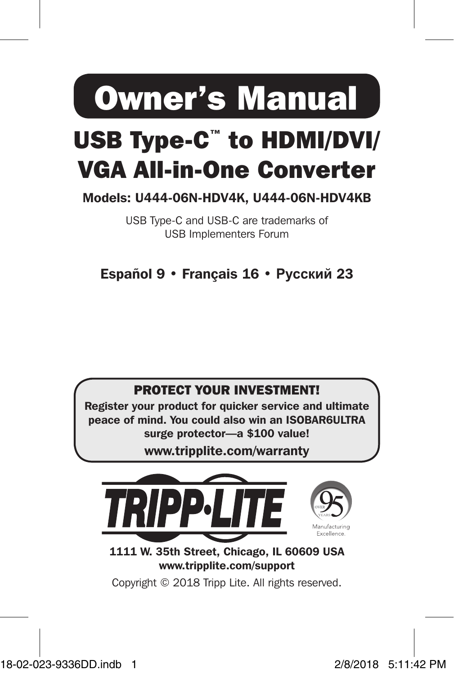Owner's Manual

# USB Type-C™ to HDMI/DVI/ VGA All-in-One Converter

Models: U444-06N-HDV4K, U444-06N-HDV4KB

USB Type-C and USB-C are trademarks of USB Implementers Forum

Español 9 • Français 16 • **Русский** 23



Register your product for quicker service and ultimate peace of mind. You could also win an ISOBAR6ULTRA surge protector—a \$100 value!

www.tripplite.com/warranty



1111 W. 35th Street, Chicago, IL 60609 USA www.tripplite.com/support

Copyright © 2018 Tripp Lite. All rights reserved.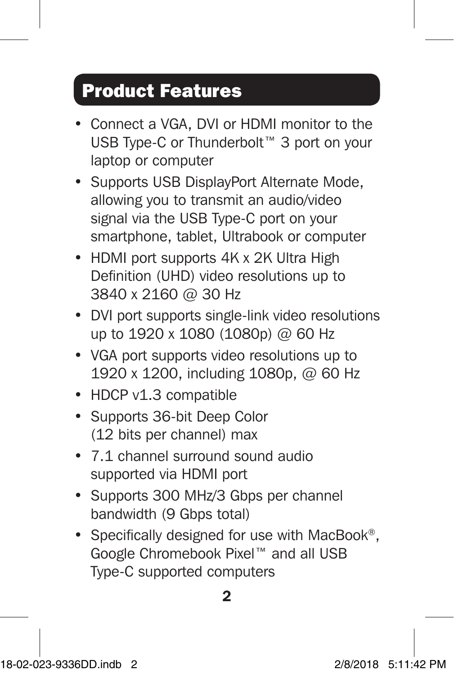## Product Features

- Connect a VGA, DVI or HDMI monitor to the USB Type-C or Thunderbolt™ 3 port on your laptop or computer
- Supports USB DisplayPort Alternate Mode, allowing you to transmit an audio/video signal via the USB Type-C port on your smartphone, tablet, Ultrabook or computer
- HDMI port supports 4K x 2K Ultra High Definition (UHD) video resolutions up to 3840 x 2160 @ 30 Hz
- DVI port supports single-link video resolutions up to 1920 x 1080 (1080p) @ 60 Hz
- VGA port supports video resolutions up to 1920 x 1200, including 1080p, @ 60 Hz
- HDCP v1.3 compatible
- Supports 36-bit Deep Color (12 bits per channel) max
- 7.1 channel surround sound audio supported via HDMI port
- Supports 300 MHz/3 Gbps per channel bandwidth (9 Gbps total)
- Specifically designed for use with MacBook®, Google Chromebook Pixel™ and all USB Type-C supported computers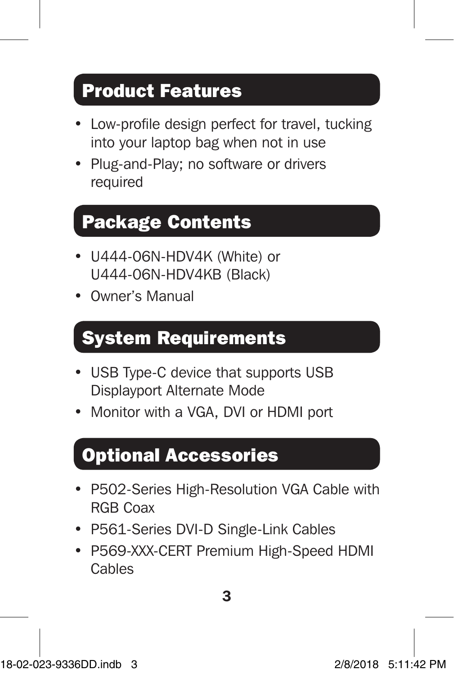## Product Features

- Low-profile design perfect for travel, tucking into your laptop bag when not in use
- Plug-and-Play; no software or drivers required

### Package Contents

- U444-06N-HDV4K (White) or U444-06N-HDV4KB (Black)
- Owner's Manual

### System Requirements

- USB Type-C device that supports USB Displayport Alternate Mode
- Monitor with a VGA, DVI or HDMI port

### Optional Accessories

- P502-Series High-Resolution VGA Cable with RGB Coax
- P561-Series DVI-D Single-Link Cables
- P569-XXX-CERT Premium High-Speed HDMI Cables

3

18-02-023-9336DD.indb 3 2/8/2018 5:11:42 PM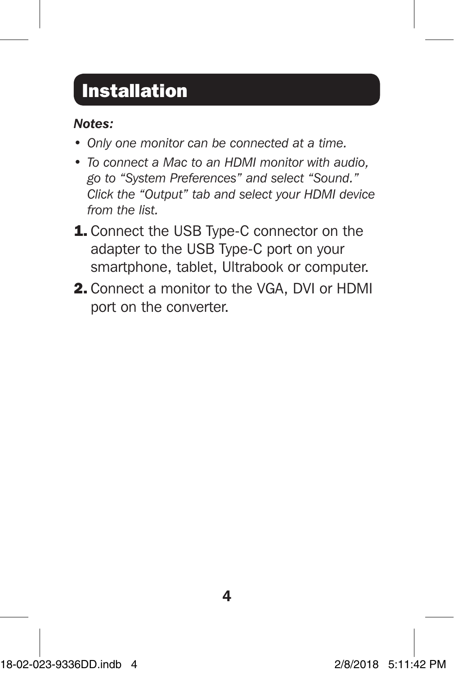## **Installation**

### *Notes:*

- *• Only one monitor can be connected at a time.*
- *• To connect a Mac to an HDMI monitor with audio, go to "System Preferences" and select "Sound." Click the "Output" tab and select your HDMI device from the list.*
- **1.** Connect the USB Type-C connector on the adapter to the USB Type-C port on your smartphone, tablet, Ultrabook or computer.
- 2. Connect a monitor to the VGA, DVI or HDMI port on the converter.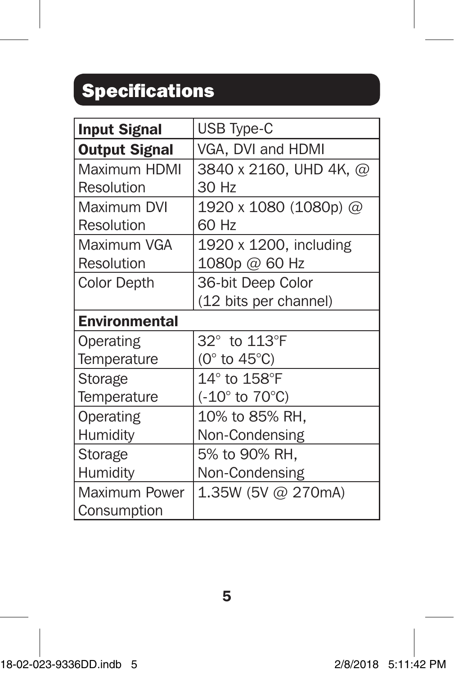## Specifications

| <b>Input Signal</b>  | USB Type-C                         |
|----------------------|------------------------------------|
| <b>Output Signal</b> | VGA, DVI and HDMI                  |
| Maximum HDMI         | 3840 x 2160, UHD 4K, @             |
| Resolution           | 30 Hz                              |
| Maximum DVI          | 1920 x 1080 (1080p) @              |
| Resolution           | 60 Hz                              |
| Maximum VGA          | 1920 x 1200, including             |
| Resolution           | 1080p @ 60 Hz                      |
| <b>Color Depth</b>   | 36-bit Deep Color                  |
|                      | (12 bits per channel)              |
| <b>Environmental</b> |                                    |
| Operating            | 32° to 113°F                       |
| Temperature          | (0 $\degree$ to 45 $\degree$ C)    |
| Storage              | $14^{\circ}$ to $158^{\circ}$ F    |
| Temperature          | $(-10^{\circ}$ to 70 $^{\circ}$ C) |
| Operating            | 10% to 85% RH.                     |
| Humidity             | Non-Condensing                     |
| Storage              | 5% to 90% RH,                      |
| Humidity             | Non-Condensing                     |
| Maximum Power        | 1.35W (5V @ 270mA)                 |
| Consumption          |                                    |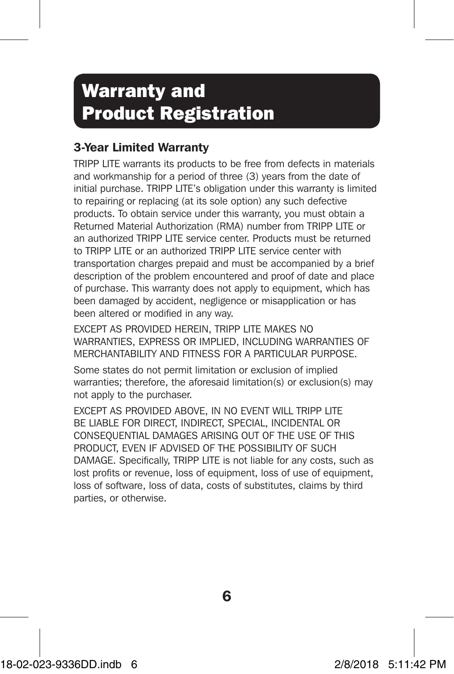## Warranty and Product Registration

### 3-Year Limited Warranty

TRIPP LITE warrants its products to be free from defects in materials and workmanship for a period of three (3) years from the date of initial purchase. TRIPP LITE's obligation under this warranty is limited to repairing or replacing (at its sole option) any such defective products. To obtain service under this warranty, you must obtain a Returned Material Authorization (RMA) number from TRIPP LITE or an authorized TRIPP LITE service center. Products must be returned to TRIPP LITE or an authorized TRIPP LITE service center with transportation charges prepaid and must be accompanied by a brief description of the problem encountered and proof of date and place of purchase. This warranty does not apply to equipment, which has been damaged by accident, negligence or misapplication or has been altered or modified in any way.

EXCEPT AS PROVIDED HEREIN, TRIPP LITE MAKES NO WARRANTIES, EXPRESS OR IMPLIED, INCLUDING WARRANTIES OF MERCHANTABILITY AND FITNESS FOR A PARTICULAR PURPOSE.

Some states do not permit limitation or exclusion of implied warranties; therefore, the aforesaid limitation(s) or exclusion(s) may not apply to the purchaser.

EXCEPT AS PROVIDED ABOVE, IN NO EVENT WILL TRIPP LITE BE LIABLE FOR DIRECT, INDIRECT, SPECIAL, INCIDENTAL OR CONSEQUENTIAL DAMAGES ARISING OUT OF THE USE OF THIS PRODUCT, EVEN IF ADVISED OF THE POSSIBILITY OF SUCH DAMAGE. Specifically, TRIPP LITE is not liable for any costs, such as lost profits or revenue, loss of equipment, loss of use of equipment, loss of software, loss of data, costs of substitutes, claims by third parties, or otherwise.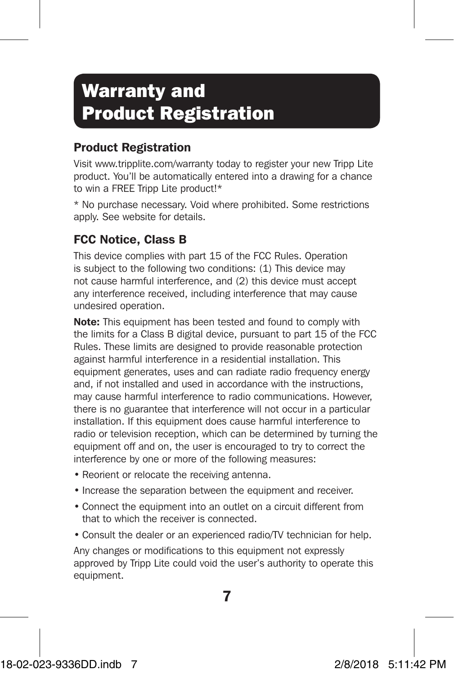## Warranty and Product Registration

### Product Registration

Visit www.tripplite.com/warranty today to register your new Tripp Lite product. You'll be automatically entered into a drawing for a chance to win a FREE Tripp Lite product!\*

\* No purchase necessary. Void where prohibited. Some restrictions apply. See website for details.

### FCC Notice, Class B

This device complies with part 15 of the FCC Rules. Operation is subject to the following two conditions: (1) This device may not cause harmful interference, and (2) this device must accept any interference received, including interference that may cause undesired operation.

Note: This equipment has been tested and found to comply with the limits for a Class B digital device, pursuant to part 15 of the FCC Rules. These limits are designed to provide reasonable protection against harmful interference in a residential installation. This equipment generates, uses and can radiate radio frequency energy and, if not installed and used in accordance with the instructions, may cause harmful interference to radio communications. However, there is no guarantee that interference will not occur in a particular installation. If this equipment does cause harmful interference to radio or television reception, which can be determined by turning the equipment off and on, the user is encouraged to try to correct the interference by one or more of the following measures:

- Reorient or relocate the receiving antenna.
- Increase the separation between the equipment and receiver.
- Connect the equipment into an outlet on a circuit different from that to which the receiver is connected.
- Consult the dealer or an experienced radio/TV technician for help.

Any changes or modifications to this equipment not expressly approved by Tripp Lite could void the user's authority to operate this equipment.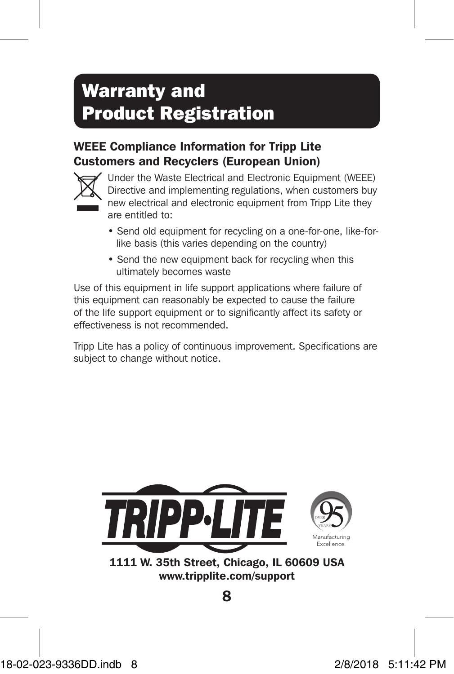## Warranty and Product Registration

### WEEE Compliance Information for Tripp Lite Customers and Recyclers (European Union)



Under the Waste Electrical and Electronic Equipment (WEEE) Directive and implementing regulations, when customers buy new electrical and electronic equipment from Tripp Lite they are entitled to:

- Send old equipment for recycling on a one-for-one, like-forlike basis (this varies depending on the country)
- Send the new equipment back for recycling when this ultimately becomes waste

Use of this equipment in life support applications where failure of this equipment can reasonably be expected to cause the failure of the life support equipment or to significantly affect its safety or effectiveness is not recommended.

Tripp Lite has a policy of continuous improvement. Specifications are subject to change without notice.



1111 W. 35th Street, Chicago, IL 60609 USA www.tripplite.com/support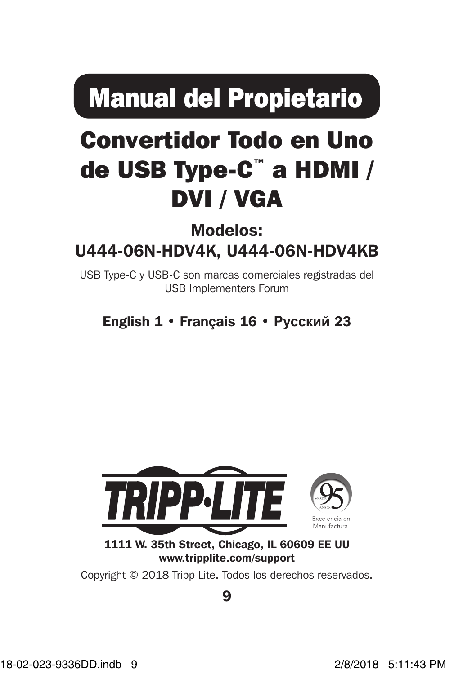# Manual del Propietario

# Convertidor Todo en Uno de USB Type-C™ a HDMI / DVI / VGA

### Modelos: U444-06N-HDV4K, U444-06N-HDV4KB

USB Type-C y USB-C son marcas comerciales registradas del USB Implementers Forum

English 1 • Français 16 • **Русский** 23



1111 W. 35th Street, Chicago, IL 60609 EE UU www.tripplite.com/support

Copyright © 2018 Tripp Lite. Todos los derechos reservados.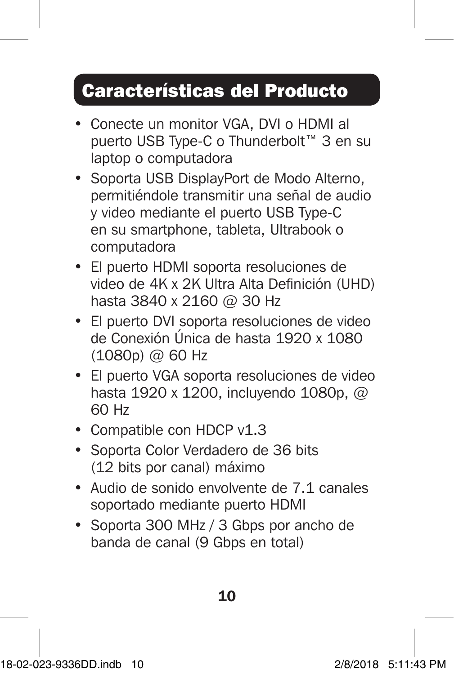## Características del Producto

- Conecte un monitor VGA, DVI o HDMI al puerto USB Type-C o Thunderbolt™ 3 en su laptop o computadora
- Soporta USB DisplayPort de Modo Alterno, permitiéndole transmitir una señal de audio y video mediante el puerto USB Type-C en su smartphone, tableta, Ultrabook o computadora
- El puerto HDMI soporta resoluciones de video de 4K x 2K Ultra Alta Definición (UHD) hasta 3840 x 2160 @ 30 Hz
- El puerto DVI soporta resoluciones de video de Conexión Única de hasta 1920 x 1080 (1080p) @ 60 Hz
- El puerto VGA soporta resoluciones de video hasta 1920 x 1200, incluyendo 1080p, @ 60 Hz
- Compatible con HDCP v1.3
- Soporta Color Verdadero de 36 bits (12 bits por canal) máximo
- Audio de sonido envolvente de 7.1 canales soportado mediante puerto HDMI
- Soporta 300 MHz / 3 Gbps por ancho de banda de canal (9 Gbps en total)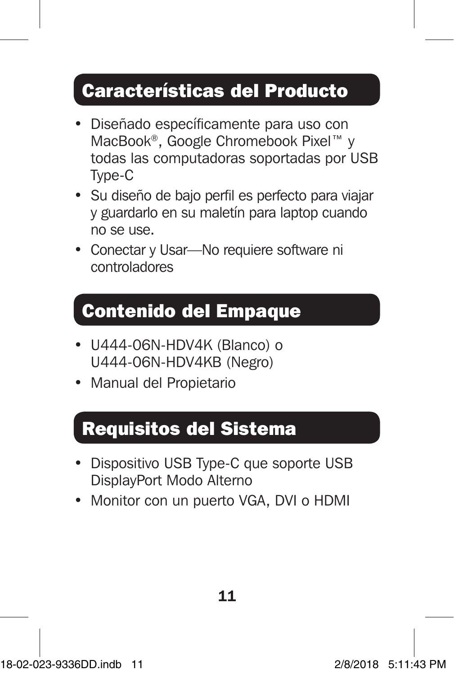## Características del Producto

- Diseñado específicamente para uso con MacBook®, Google Chromebook Pixel™ y todas las computadoras soportadas por USB Type-C
- Su diseño de bajo perfil es perfecto para viajar y guardarlo en su maletín para laptop cuando no se use.
- Conectar y Usar-No requiere software ni controladores

### Contenido del Empaque

- U444-06N-HDV4K (Blanco) o U444-06N-HDV4KB (Negro)
- Manual del Propietario

### Requisitos del Sistema

- Dispositivo USB Type-C que soporte USB DisplayPort Modo Alterno
- Monitor con un puerto VGA, DVI o HDMI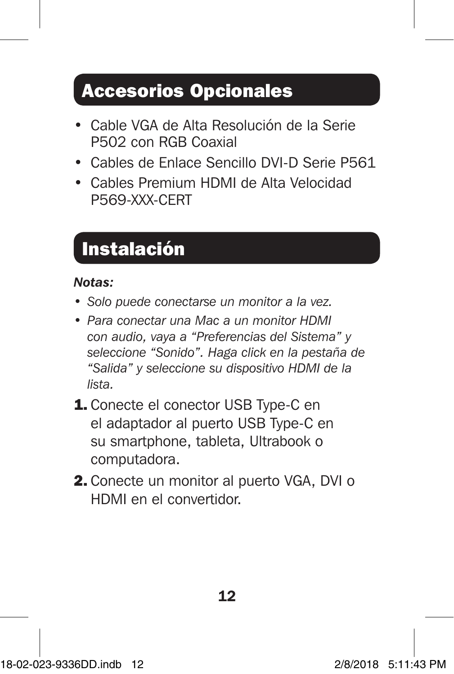### Accesorios Opcionales

- Cable VGA de Alta Resolución de la Serie P502 con RGB Coaxial
- Cables de Enlace Sencillo DVI-D Serie P561
- Cables Premium HDMI de Alta Velocidad P569-XXX-CERT

## **Instalación**

### *Notas:*

- *• Solo puede conectarse un monitor a la vez.*
- *• Para conectar una Mac a un monitor HDMI con audio, vaya a "Preferencias del Sistema" y seleccione "Sonido". Haga click en la pestaña de "Salida" y seleccione su dispositivo HDMI de la lista.*
- 1. Conecte el conector USB Type-C en el adaptador al puerto USB Type-C en su smartphone, tableta, Ultrabook o computadora.
- 2. Conecte un monitor al puerto VGA, DVI o HDMI en el convertidor.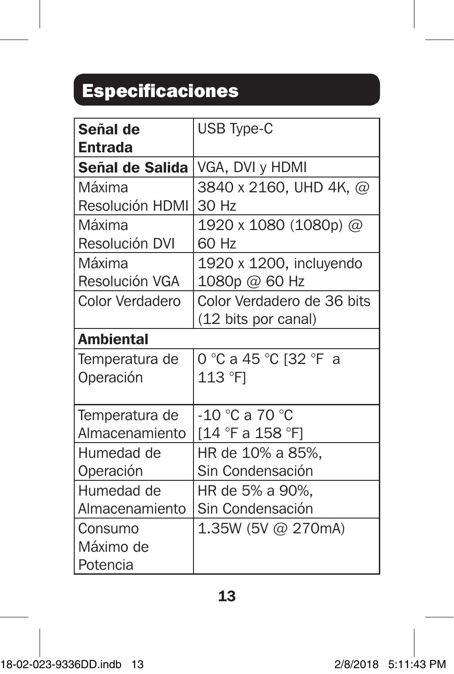# Especificaciones

| Señal de         | USB Type-C                 |
|------------------|----------------------------|
| Entrada          |                            |
| Señal de Salida  | VGA, DVI y HDMI            |
| Máxima           | 3840 x 2160, UHD 4K, @     |
| Resolución HDMI  | 30 Hz                      |
| Máxima           | 1920 x 1080 (1080p) @      |
| Resolución DVI   | 60 Hz                      |
| Máxima           | 1920 x 1200, incluyendo    |
| Resolución VGA   | 1080p @ 60 Hz              |
| Color Verdadero  | Color Verdadero de 36 bits |
|                  | (12 bits por canal)        |
| <b>Ambiental</b> |                            |
| Temperatura de   | 0 °C a 45 °C [32 °F a      |
| Operación        | 113 °F1                    |
|                  |                            |
| Temperatura de   | -10 °C a 70 °C             |
| Almacenamiento   | [14 °F a 158 °F]           |
| Humedad de       | HR de 10% a 85%,           |
| Operación        | Sin Condensación           |
| Humedad de       | HR de 5% a 90%,            |
| Almacenamiento   | Sin Condensación           |
| Consumo          | 1.35W (5V @ 270mA)         |
| Máximo de        |                            |
| Potencia         |                            |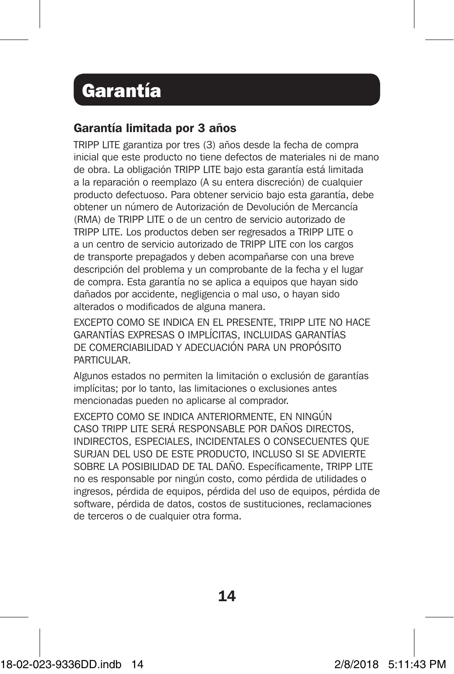### Garantía

### Garantía limitada por 3 años

TRIPP LITE garantiza por tres (3) años desde la fecha de compra inicial que este producto no tiene defectos de materiales ni de mano de obra. La obligación TRIPP LITE bajo esta garantía está limitada a la reparación o reemplazo (A su entera discreción) de cualquier producto defectuoso. Para obtener servicio bajo esta garantía, debe obtener un número de Autorización de Devolución de Mercancía (RMA) de TRIPP LITE o de un centro de servicio autorizado de TRIPP LITE. Los productos deben ser regresados a TRIPP LITE o a un centro de servicio autorizado de TRIPP LITE con los cargos de transporte prepagados y deben acompañarse con una breve descripción del problema y un comprobante de la fecha y el lugar de compra. Esta garantía no se aplica a equipos que hayan sido dañados por accidente, negligencia o mal uso, o hayan sido alterados o modificados de alguna manera.

EXCEPTO COMO SE INDICA EN EL PRESENTE, TRIPP LITE NO HACE GARANTÍAS EXPRESAS O IMPLÍCITAS, INCLUIDAS GARANTÍAS DE COMERCIABILIDAD Y ADECUACIÓN PARA UN PROPÓSITO PARTICULAR.

Algunos estados no permiten la limitación o exclusión de garantías implícitas; por lo tanto, las limitaciones o exclusiones antes mencionadas pueden no aplicarse al comprador.

EXCEPTO COMO SE INDICA ANTERIORMENTE, EN NINGÚN CASO TRIPP LITE SERÁ RESPONSABLE POR DAÑOS DIRECTOS, INDIRECTOS, ESPECIALES, INCIDENTALES O CONSECUENTES QUE SURJAN DEL USO DE ESTE PRODUCTO, INCLUSO SI SE ADVIERTE SOBRE LA POSIBILIDAD DE TAL DAÑO. Específicamente, TRIPP LITE no es responsable por ningún costo, como pérdida de utilidades o ingresos, pérdida de equipos, pérdida del uso de equipos, pérdida de software, pérdida de datos, costos de sustituciones, reclamaciones de terceros o de cualquier otra forma.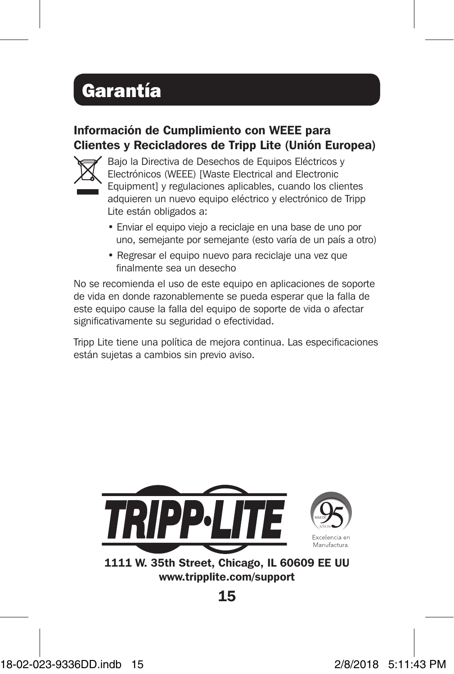## Garantía

### Información de Cumplimiento con WEEE para Clientes y Recicladores de Tripp Lite (Unión Europea)



Bajo la Directiva de Desechos de Equipos Eléctricos y Electrónicos (WEEE) [Waste Electrical and Electronic Equipment] y regulaciones aplicables, cuando los clientes adquieren un nuevo equipo eléctrico y electrónico de Tripp Lite están obligados a:

- Enviar el equipo viejo a reciclaje en una base de uno por uno, semejante por semejante (esto varía de un país a otro)
- Regresar el equipo nuevo para reciclaje una vez que finalmente sea un desecho

No se recomienda el uso de este equipo en aplicaciones de soporte de vida en donde razonablemente se pueda esperar que la falla de este equipo cause la falla del equipo de soporte de vida o afectar significativamente su seguridad o efectividad.

Tripp Lite tiene una política de mejora continua. Las especificaciones están sujetas a cambios sin previo aviso.



www.tripplite.com/support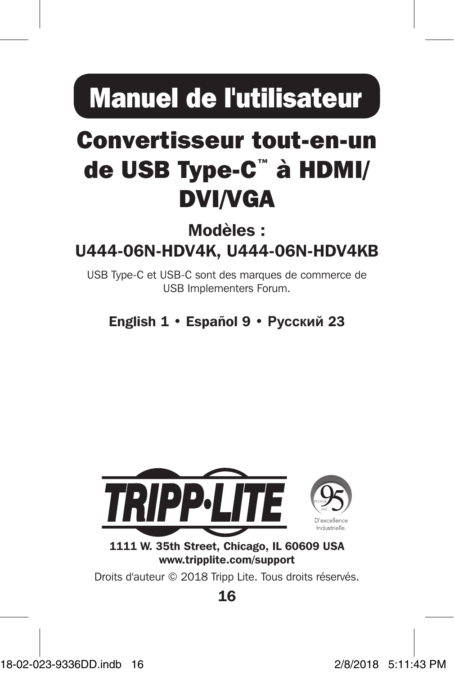# Manuel de l'utilisateur

# Convertisseur tout-en-un de USB Type-C™ à HDMI/ DVI/VGA

### Modèles : U444-06N-HDV4K, U444-06N-HDV4KB

USB Type-C et USB-C sont des marques de commerce de USB Implementers Forum.

English 1 • Español 9 • **Русский** 23



1111 W. 35th Street, Chicago, IL 60609 USA www.tripplite.com/support

Droits d'auteur © 2018 Tripp Lite. Tous droits réservés.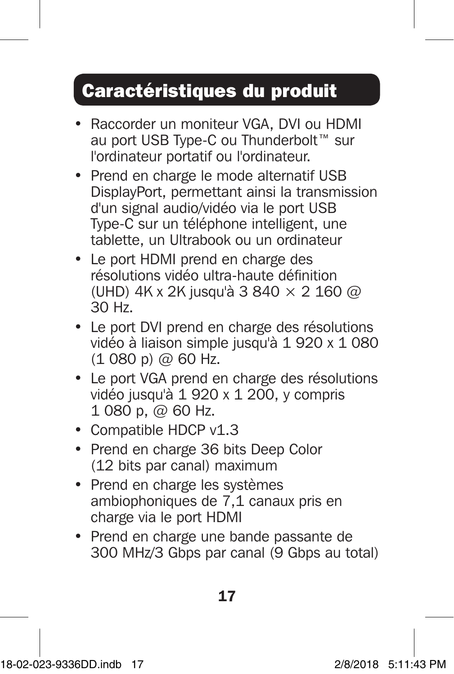### Caractéristiques du produit

- Raccorder un moniteur VGA, DVI ou HDMI au port USB Type-C ou Thunderbolt™ sur l'ordinateur portatif ou l'ordinateur.
- Prend en charge le mode alternatif USB DisplayPort, permettant ainsi la transmission d'un signal audio/vidéo via le port USB Type-C sur un téléphone intelligent, une tablette, un Ultrabook ou un ordinateur
- Le port HDMI prend en charge des résolutions vidéo ultra-haute définition (UHD) 4K x 2K jusqu'à 3 840 × 2 160 @ 30 Hz.
- Le port DVI prend en charge des résolutions vidéo à liaison simple jusqu'à 1 920 x 1 080  $(1080 p)$  @ 60 Hz.
- Le port VGA prend en charge des résolutions vidéo jusqu'à 1 920 x 1 200, y compris 1 080 p, @ 60 Hz.
- Compatible HDCP v1.3
- Prend en charge 36 bits Deep Color (12 bits par canal) maximum
- Prend en charge les systèmes ambiophoniques de 7,1 canaux pris en charge via le port HDMI
- Prend en charge une bande passante de 300 MHz/3 Gbps par canal (9 Gbps au total)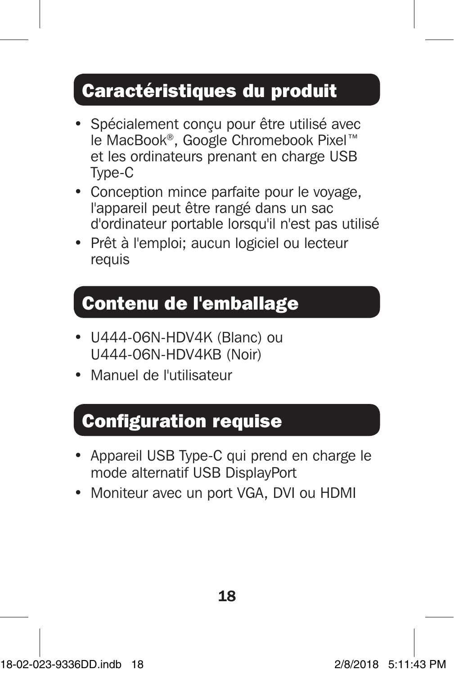### Caractéristiques du produit

- Spécialement conçu pour être utilisé avec le MacBook®, Google Chromebook Pixel™ et les ordinateurs prenant en charge USB Type-C
- Conception mince parfaite pour le voyage, l'appareil peut être rangé dans un sac d'ordinateur portable lorsqu'il n'est pas utilisé
- Prêt à l'emploi; aucun logiciel ou lecteur requis

### Contenu de l'emballage

- U444-06N-HDV4K (Blanc) ou U444-06N-HDV4KB (Noir)
- Manuel de l'utilisateur

### Configuration requise

- Appareil USB Type-C qui prend en charge le mode alternatif USB DisplayPort
- Moniteur avec un port VGA, DVI ou HDMI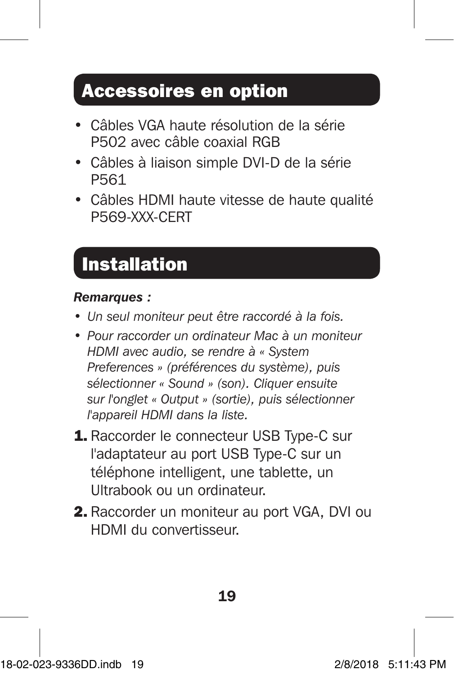### Accessoires en option

- Câbles VGA haute résolution de la série P502 avec câble coaxial RGB
- Câbles à liaison simple DVI-D de la série P561
- Câbles HDMI haute vitesse de haute qualité P569-XXX-CERT

### Installation

### *Remarques :*

- *• Un seul moniteur peut être raccordé à la fois.*
- *• Pour raccorder un ordinateur Mac à un moniteur HDMI avec audio, se rendre à « System Preferences » (préférences du système), puis sélectionner « Sound » (son). Cliquer ensuite sur l'onglet « Output » (sortie), puis sélectionner l'appareil HDMI dans la liste.*
- 1. Raccorder le connecteur USB Type-C sur l'adaptateur au port USB Type-C sur un téléphone intelligent, une tablette, un Ultrabook ou un ordinateur.
- 2. Raccorder un moniteur au port VGA, DVI ou HDMI du convertisseur.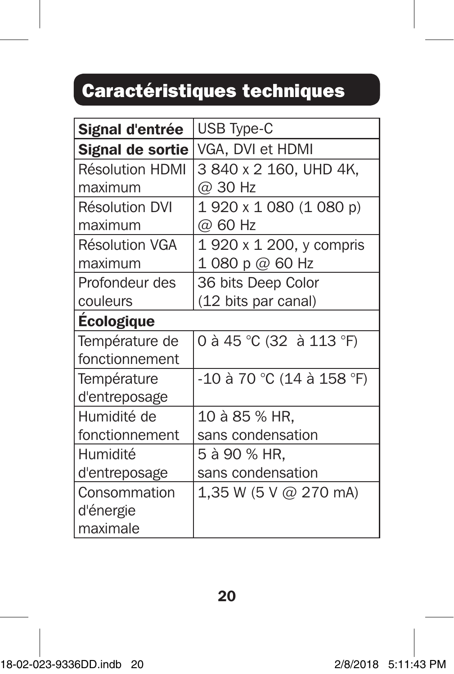## Caractéristiques techniques

| Signal d'entrée        | <b>USB Type-C</b>         |
|------------------------|---------------------------|
| Signal de sortie       | VGA, DVI et HDMI          |
| <b>Résolution HDMI</b> | 3 840 x 2 160. UHD 4K.    |
| maximum                | @ 30 Hz                   |
| <b>Résolution DVI</b>  | 1 920 x 1 080 (1 080 p)   |
| maximum                | @ 60 Hz                   |
| Résolution VGA         | 1 920 x 1 200, y compris  |
| maximum                | 1 080 p $@$ 60 Hz         |
| Profondeur des         | 36 bits Deep Color        |
| couleurs               | (12 bits par canal)       |
| <b>Ecologique</b>      |                           |
| Température de         | 0 à 45 °C (32 à 113 °F)   |
| fonctionnement         |                           |
| Température            | -10 à 70 °C (14 à 158 °F) |
| d'entreposage          |                           |
| Humidité de            | 10 à 85 % HR.             |
| fonctionnement         | sans condensation         |
| Humidité               | 5 à 90 % HR.              |
| d'entreposage          | sans condensation         |
| Consommation           | 1,35 W (5 V @ 270 mA)     |
| d'énergie              |                           |
| maximale               |                           |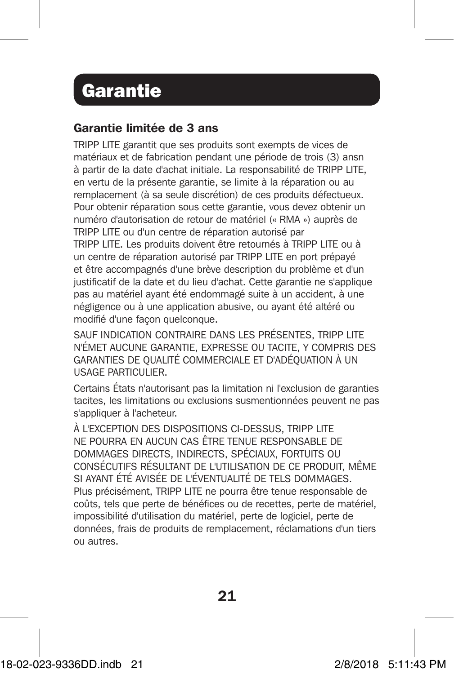### **Garantie**

#### Garantie limitée de 3 ans

TRIPP LITE garantit que ses produits sont exempts de vices de matériaux et de fabrication pendant une période de trois (3) ansn à partir de la date d'achat initiale. La responsabilité de TRIPP LITE, en vertu de la présente garantie, se limite à la réparation ou au remplacement (à sa seule discrétion) de ces produits défectueux. Pour obtenir réparation sous cette garantie, vous devez obtenir un numéro d'autorisation de retour de matériel (« RMA ») auprès de TRIPP LITE ou d'un centre de réparation autorisé par TRIPP LITE. Les produits doivent être retournés à TRIPP LITE ou à un centre de réparation autorisé par TRIPP LITE en port prépayé et être accompagnés d'une brève description du problème et d'un justificatif de la date et du lieu d'achat. Cette garantie ne s'applique pas au matériel ayant été endommagé suite à un accident, à une négligence ou à une application abusive, ou ayant été altéré ou modifié d'une façon quelconque.

SAUF INDICATION CONTRAIRE DANS LES PRÉSENTES, TRIPP LITE N'ÉMET AUCUNE GARANTIE, EXPRESSE OU TACITE, Y COMPRIS DES GARANTIES DE QUALITÉ COMMERCIALE ET D'ADÉQUATION À UN USAGE PARTICULIER.

Certains États n'autorisant pas la limitation ni l'exclusion de garanties tacites, les limitations ou exclusions susmentionnées peuvent ne pas s'appliquer à l'acheteur.

À L'EXCEPTION DES DISPOSITIONS CI-DESSUS, TRIPP LITE NE POURRA EN AUCUN CAS ÊTRE TENUE RESPONSABLE DE DOMMAGES DIRECTS, INDIRECTS, SPÉCIAUX, FORTUITS OU CONSÉCUTIFS RÉSULTANT DE L'UTILISATION DE CE PRODUIT, MÊME SI AYANT ÉTÉ AVISÉE DE L'ÉVENTUALITÉ DE TELS DOMMAGES. Plus précisément, TRIPP LITE ne pourra être tenue responsable de coûts, tels que perte de bénéfices ou de recettes, perte de matériel, impossibilité d'utilisation du matériel, perte de logiciel, perte de données, frais de produits de remplacement, réclamations d'un tiers ou autres.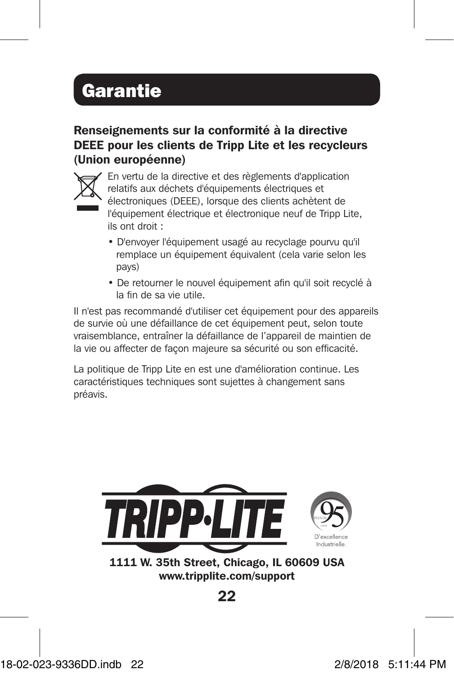## Garantie

Renseignements sur la conformité à la directive DEEE pour les clients de Tripp Lite et les recycleurs (Union européenne)



En vertu de la directive et des règlements d'application relatifs aux déchets d'équipements électriques et électroniques (DEEE), lorsque des clients achètent de l'équipement électrique et électronique neuf de Tripp Lite, ils ont droit :

- D'envoyer l'équipement usagé au recyclage pourvu qu'il remplace un équipement équivalent (cela varie selon les pays)
- De retourner le nouvel équipement afin qu'il soit recyclé à la fin de sa vie utile.

Il n'est pas recommandé d'utiliser cet équipement pour des appareils de survie où une défaillance de cet équipement peut, selon toute vraisemblance, entraîner la défaillance de l'appareil de maintien de la vie ou affecter de façon majeure sa sécurité ou son efficacité.

La politique de Tripp Lite en est une d'amélioration continue. Les caractéristiques techniques sont sujettes à changement sans préavis.



1111 W. 35th Street, Chicago, IL 60609 USA www.tripplite.com/support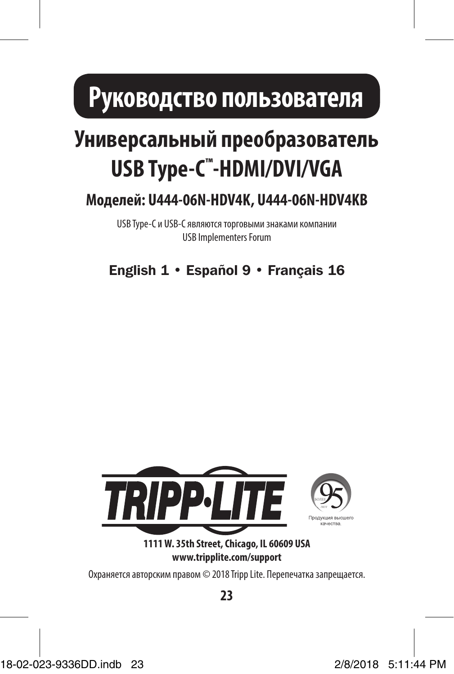# **Руководство пользователя**

# **Универсальный преобразователь USB Type-C™ -HDMI/DVI/VGA**

**Mоделей: U444-06N-HDV4K, U444-06N-HDV4KB**

USB Type-C и USB-C являются торговыми знаками компании USB Implementers Forum

English 1 • Español 9 • Français 16



**1111 W. 35th Street, Chicago, IL 60609 USA www.tripplite.com/support**

Охраняется авторским правом © 2018 Tripp Lite. Перепечатка запрещается.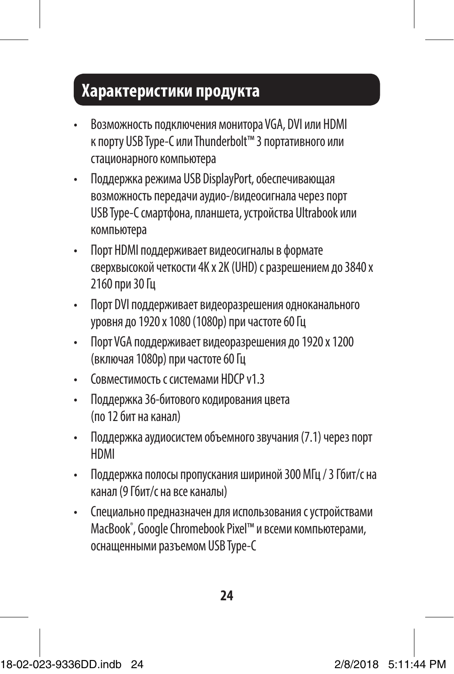### **Характеристики продукта**

- Возможность подключения монитора VGA, DVI или HDMI к порту USB Type-C или Thunderbolt™ 3 портативного или стационарного компьютера
- Поддержка режима USB DisplayPort, обеспечивающая возможность передачи аудио-/видеосигнала через порт USB Type-C смартфона, планшета, устройства Ultrabook или компьютера
- Порт HDMI поддерживает видеосигналы в формате сверхвысокой четкости 4K x 2K (UHD) с разрешением до 3840 x 2160 при 30 Гц
- Порт DVI поддерживает видеоразрешения одноканального уровня до 1920 x 1080 (1080p) при частоте 60 Гц
- Порт VGA поддерживает видеоразрешения до 1920 x 1200 (включая 1080p) при частоте 60 Гц
- Совместимость с системами HDCP v1.3
- Поддержка 36-битового кодирования цвета (по 12 бит на канал)
- Поддержка аудиосистем объемного звучания (7.1) через порт HDMI
- Поддержка полосы пропускания шириной 300 МГц / 3 Гбит/с на канал (9 Гбит/с на все каналы)
- Специально предназначен для использования с устройствами MacBook® , Google Chromebook Pixel™ и всеми компьютерами, оснащенными разъемом USB Type-C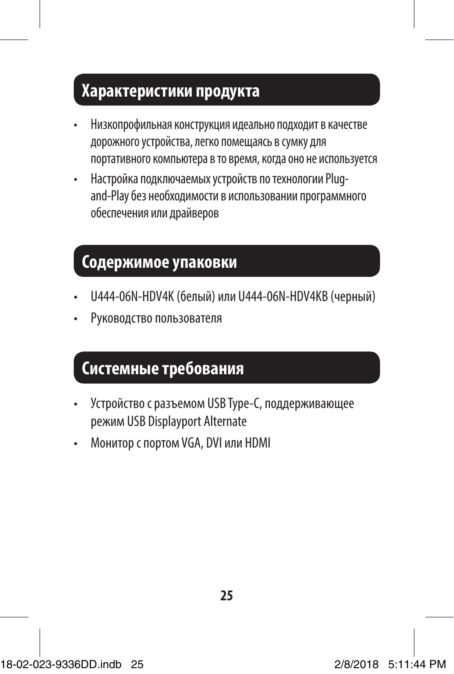### **Характеристики продукта**

- Низкопрофильная конструкция идеально подходит в качестве дорожного устройства, легко помещаясь в сумку для портативного компьютера в то время, когда оно не используется
- Настройка подключаемых устройств по технологии Plugand-Play без необходимости в использовании программного обеспечения или драйверов

### **Содержимое упаковки**

- U444-06N-HDV4K (белый) или U444-06N-HDV4KB (черный)
- Руководство пользователя

### **Системные требования**

- Устройство с разъемом USB Type-C, поддерживающее режим USB Displayport Alternate
- Монитор с портом VGA, DVI или HDMI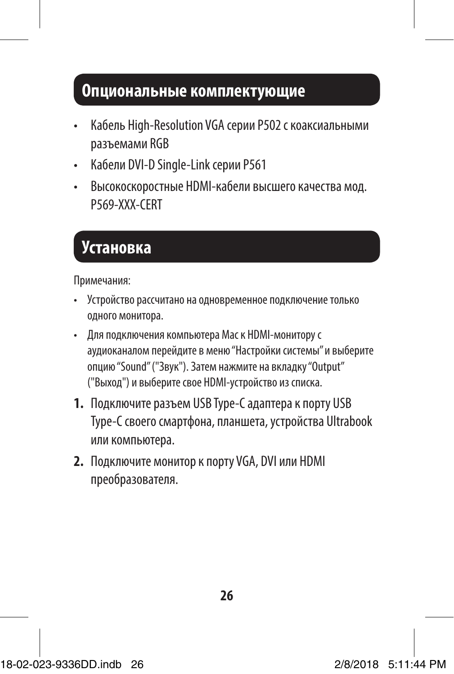### **Опциональные комплектующие**

- Кабель High-Resolution VGA серии P502 с коаксиальными разъемами RGB
- Кабели DVI-D Single-Link серии P561
- Высокоскоростные HDMI-кабели высшего качества мод. P569-XXX-CERT

### **Установка**

Примечания:

- Устройство рассчитано на одновременное подключение только одного монитора.
- Для подключения компьютера Mac к HDMI-монитору с аудиоканалом перейдите в меню "Настройки системы" и выберите опцию "Sound" ("Звук"). Затем нажмите на вкладку "Output" ("Выход") и выберите свое HDMI-устройство из списка.
- **1.** Подключите разъем USB Type-C адаптера к порту USB Type-C своего смартфона, планшета, устройства Ultrabook или компьютера.
- **2.** Подключите монитор к порту VGA, DVI или HDMI преобразователя.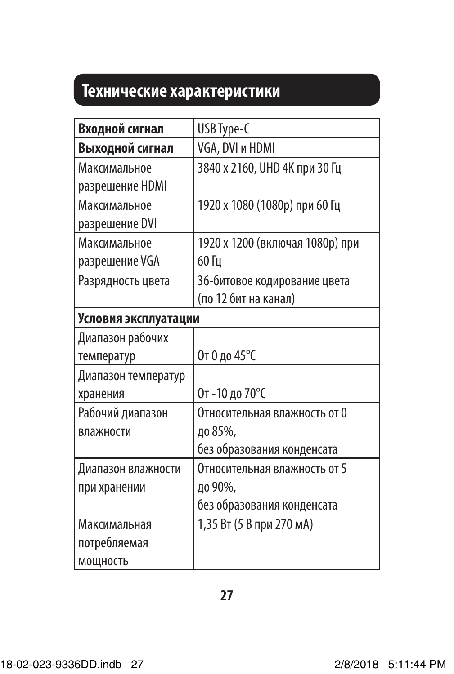### **Технические характеристики**

| Входной сигнал       | USB Type-C                      |
|----------------------|---------------------------------|
| Выходной сигнал      | VGA, DVI и HDMI                 |
| Максимальное         | 3840 х 2160, UHD 4К при 30 Гц   |
| разрешение HDMI      |                                 |
| Максимальное         | 1920 х 1080 (1080р) при 60 Гц   |
| разрешение DVI       |                                 |
| Максимальное         | 1920 х 1200 (включая 1080р) при |
| разрешение VGA       | 60 Гц                           |
| Разрядность цвета    | 36-битовое кодирование цвета    |
|                      | (по 12 бит на канал)            |
| Условия эксплуатации |                                 |
| Диапазон рабочих     |                                 |
| температур           | От 0 до 45°С                    |
| Диапазон температур  |                                 |
| хранения             | От-10 до 70°С                   |
| Рабочий диапазон     | Относительная влажность от 0    |
| влажности            | до 85%,                         |
|                      | без образования конденсата      |
| Диапазон влажности   | Относительная влажность от 5    |
| при хранении         | до 90%,                         |
|                      | без образования конденсата      |
| Максимальная         | 1,35 Вт (5 В при 270 мА)        |
| потребляемая         |                                 |
| МОЩНОСТЬ             |                                 |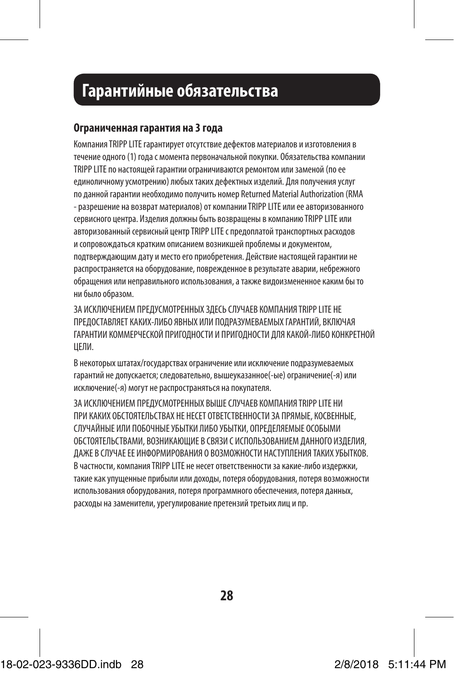### **Установка Гарантийные обязательства**

#### **Ограниченная гарантия на 3 года**

Компания TRIPP LITE гарантирует отсутствие дефектов материалов и изготовления в течение одного (1) года с момента первоначальной покупки. Обязательства компании TRIPP LITE по настоящей гарантии ограничиваются ремонтом или заменой (по ее единоличному усмотрению) любых таких дефектных изделий. Для получения услуг по данной гарантии необходимо получить номер Returned Material Authorization (RMA - разрешение на возврат материалов) от компании TRIPP LITE или ее авторизованного сервисного центра. Изделия должны быть возвращены в компанию TRIPP LITE или авторизованный сервисный центр TRIPP LITE с предоплатой транспортных расходов и сопровождаться кратким описанием возникшей проблемы и документом, подтверждающим дату и место его приобретения. Действие настоящей гарантии не распространяется на оборудование, поврежденное в результате аварии, небрежного обращения или неправильного использования, а также видоизмененное каким бы то ни было образом.

ЗА ИСКЛЮЧЕНИЕМ ПРЕДУСМОТРЕННЫХ ЗДЕСЬ СЛУЧАЕВ КОМПАНИЯ TRIPP LITE НЕ ПРЕДОСТАВЛЯЕТ КАКИХ-ЛИБО ЯВНЫХ ИЛИ ПОДРАЗУМЕВАЕМЫХ ГАРАНТИЙ, ВКЛЮЧАЯ ГАРАНТИИ КОММЕРЧЕСКОЙ ПРИГОДНОСТИ И ПРИГОДНОСТИ ДЛЯ КАКОЙ-ЛИБО КОНКРЕТНОЙ ЦЕЛИ.

В некоторых штатах/государствах ограничение или исключение подразумеваемых гарантий не допускается; следовательно, вышеуказанное(-ые) ограничение(-я) или исключение(-я) могут не распространяться на покупателя.

ЗА ИСКЛЮЧЕНИЕМ ПРЕДУСМОТРЕННЫХ ВЫШЕ СЛУЧАЕВ КОМПАНИЯ TRIPP LITE НИ ПРИ КАКИХ ОБСТОЯТЕЛЬСТВАХ НЕ НЕСЕТ ОТВЕТСТВЕННОСТИ ЗА ПРЯМЫЕ, КОСВЕННЫЕ, СЛУЧАЙНЫЕ ИЛИ ПОБОЧНЫЕ УБЫТКИ ЛИБО УБЫТКИ, ОПРЕДЕЛЯЕМЫЕ ОСОБЫМИ ОБСТОЯТЕЛЬСТВАМИ, ВОЗНИКАЮЩИЕ В СВЯЗИ С ИСПОЛЬЗОВАНИЕМ ДАННОГО ИЗДЕЛИЯ, ДАЖЕ В СЛУЧАЕ ЕЕ ИНФОРМИРОВАНИЯ О ВОЗМОЖНОСТИ НАСТУПЛЕНИЯ ТАКИХ УБЫТКОВ. В частности, компания TRIPP LITE не несет ответственности за какие-либо издержки, такие как упущенные прибыли или доходы, потеря оборудования, потеря возможности использования оборудования, потеря программного обеспечения, потеря данных, расходы на заменители, урегулирование претензий третьих лиц и пр.